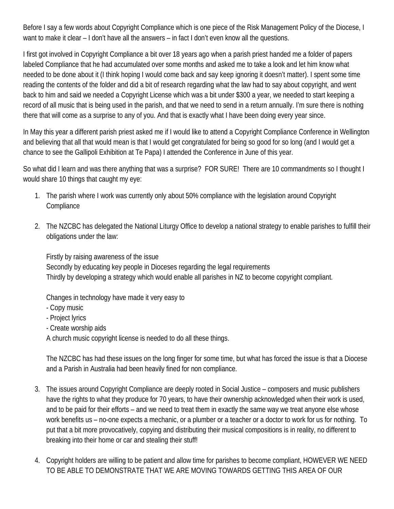Before I say a few words about Copyright Compliance which is one piece of the Risk Management Policy of the Diocese, I want to make it clear – I don't have all the answers – in fact I don't even know all the questions.

I first got involved in Copyright Compliance a bit over 18 years ago when a parish priest handed me a folder of papers labeled Compliance that he had accumulated over some months and asked me to take a look and let him know what needed to be done about it (I think hoping I would come back and say keep ignoring it doesn't matter). I spent some time reading the contents of the folder and did a bit of research regarding what the law had to say about copyright, and went back to him and said we needed a Copyright License which was a bit under \$300 a year, we needed to start keeping a record of all music that is being used in the parish, and that we need to send in a return annually. I'm sure there is nothing there that will come as a surprise to any of you. And that is exactly what I have been doing every year since.

In May this year a different parish priest asked me if I would like to attend a Copyright Compliance Conference in Wellington and believing that all that would mean is that I would get congratulated for being so good for so long (and I would get a chance to see the Gallipoli Exhibition at Te Papa) I attended the Conference in June of this year.

So what did I learn and was there anything that was a surprise? FOR SURE! There are 10 commandments so I thought I would share 10 things that caught my eye:

- 1. The parish where I work was currently only about 50% compliance with the legislation around Copyright **Compliance**
- 2. The NZCBC has delegated the National Liturgy Office to develop a national strategy to enable parishes to fulfill their obligations under the law:

Firstly by raising awareness of the issue Secondly by educating key people in Dioceses regarding the legal requirements Thirdly by developing a strategy which would enable all parishes in NZ to become copyright compliant.

Changes in technology have made it very easy to

- Copy music
- Project lyrics
- Create worship aids

A church music copyright license is needed to do all these things.

The NZCBC has had these issues on the long finger for some time, but what has forced the issue is that a Diocese and a Parish in Australia had been heavily fined for non compliance.

- 3. The issues around Copyright Compliance are deeply rooted in Social Justice composers and music publishers have the rights to what they produce for 70 years, to have their ownership acknowledged when their work is used, and to be paid for their efforts – and we need to treat them in exactly the same way we treat anyone else whose work benefits us – no-one expects a mechanic, or a plumber or a teacher or a doctor to work for us for nothing. To put that a bit more provocatively, copying and distributing their musical compositions is in reality, no different to breaking into their home or car and stealing their stuff!
- 4. Copyright holders are willing to be patient and allow time for parishes to become compliant, HOWEVER WE NEED TO BE ABLE TO DEMONSTRATE THAT WE ARE MOVING TOWARDS GETTING THIS AREA OF OUR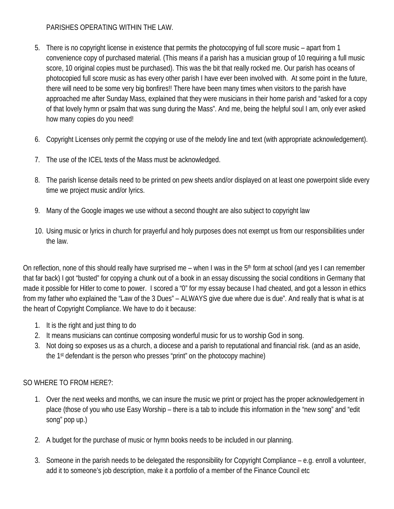## PARISHES OPERATING WITHIN THE LAW.

- 5. There is no copyright license in existence that permits the photocopying of full score music apart from 1 convenience copy of purchased material. (This means if a parish has a musician group of 10 requiring a full music score, 10 original copies must be purchased). This was the bit that really rocked me. Our parish has oceans of photocopied full score music as has every other parish I have ever been involved with. At some point in the future, there will need to be some very big bonfires!! There have been many times when visitors to the parish have approached me after Sunday Mass, explained that they were musicians in their home parish and "asked for a copy of that lovely hymn or psalm that was sung during the Mass". And me, being the helpful soul I am, only ever asked how many copies do you need!
- 6. Copyright Licenses only permit the copying or use of the melody line and text (with appropriate acknowledgement).
- 7. The use of the ICEL texts of the Mass must be acknowledged.
- 8. The parish license details need to be printed on pew sheets and/or displayed on at least one powerpoint slide every time we project music and/or lyrics.
- 9. Many of the Google images we use without a second thought are also subject to copyright law
- 10. Using music or lyrics in church for prayerful and holy purposes does not exempt us from our responsibilities under the law.

On reflection, none of this should really have surprised me – when I was in the 5<sup>th</sup> form at school (and yes I can remember that far back) I got "busted" for copying a chunk out of a book in an essay discussing the social conditions in Germany that made it possible for Hitler to come to power. I scored a "0" for my essay because I had cheated, and got a lesson in ethics from my father who explained the "Law of the 3 Dues" – ALWAYS give due where due is due". And really that is what is at the heart of Copyright Compliance. We have to do it because:

- 1. It is the right and just thing to do
- 2. It means musicians can continue composing wonderful music for us to worship God in song.
- 3. Not doing so exposes us as a church, a diocese and a parish to reputational and financial risk. (and as an aside, the 1st defendant is the person who presses "print" on the photocopy machine)

## SO WHERE TO FROM HERE?:

- 1. Over the next weeks and months, we can insure the music we print or project has the proper acknowledgement in place (those of you who use Easy Worship – there is a tab to include this information in the "new song" and "edit song" pop up.)
- 2. A budget for the purchase of music or hymn books needs to be included in our planning.
- 3. Someone in the parish needs to be delegated the responsibility for Copyright Compliance e.g. enroll a volunteer, add it to someone's job description, make it a portfolio of a member of the Finance Council etc